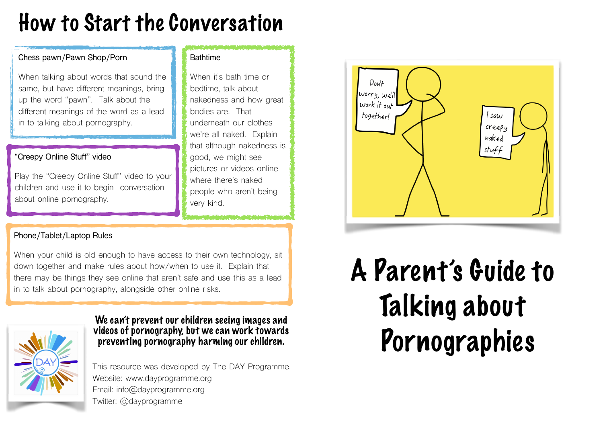## How to Start the Conversation

**Bathtime** 

When it's bath time or bedtime, talk about

bodies are. That

nakedness and how great

underneath our clothes we're all naked. Explain that although nakedness is

good, we might see pictures or videos online where there's naked

very kind.

people who aren't being

### **Chess pawn/Pawn Shop/Porn**

When talking about words that sound the same, but have different meanings, bring up the word "pawn". Talk about the different meanings of the word as a lead in to talking about pornography.

### **"Creepy Online Stuff" video**

Play the "Creepy Online Stuff" video to your children and use it to begin conversation about online pornography.

### **Phone/Tablet/Laptop Rules**

When your child is old enough to have access to their own technology, sit down together and make rules about how/when to use it. Explain that there may be things they see online that aren't safe and use this as a lead in to talk about pornography, alongside other online risks.



We can't prevent our children seeing images and videos of pornography, but we can work towards preventing pornography harming our children.

This resource was developed by The DAY Programme. Website: www.dayprogramme.org Email: info@dayprogramme.org Twitter: @dayprogramme



# A Parent's Guide to Talking about Pornographies